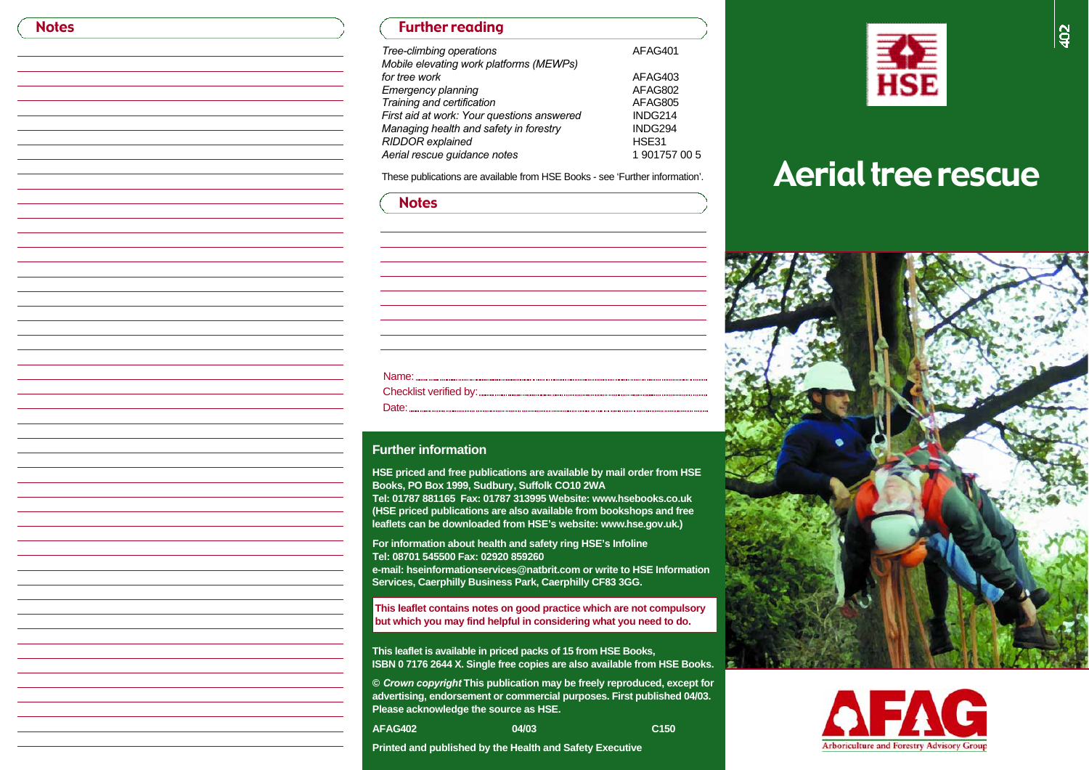**Notes** 

#### Further reading

| Tree-climbing operations                   | AFAG401    |
|--------------------------------------------|------------|
| Mobile elevating work platforms (MEWPs)    |            |
| for tree work                              | AFAG403    |
| Emergency planning                         | AFAG802    |
| Training and certification                 | AFAG805    |
| First aid at work: Your questions answered | INDG214    |
| Managing health and safety in forestry     | INDG294    |
| <b>RIDDOR</b> explained                    | HSE31      |
| Aerial rescue quidance notes               | 1901757005 |

#### **Notes**

#### **Further information**

**HSE priced and free publications are available by mail order from HSE Books, PO Box 1999, Sudbury, Suffolk CO10 2WA**

Tel: 01787 881165 Fax: 01787 313995 Website: www.hsebooks.co.uk **(HSE priced publications are also available from bookshops and free** leaflets can be downloaded from HSE's website: www.hse.gov.uk.)

**For information about health and safety ring HSE's Infoline Tel: 08701 545500 Fax: 02920 859260 e-mail: hseinformationservices@natbrit.com or write to HSE InformationServices, Caerphilly Business Park, Caerphilly CF83 3GG.** 

**This leaflet contains notes on good practice which are not compulsory but which you may find helpful in considering what you need to do.**

**This leaflet is available in priced packs of 15 from HSE Books, ISBN 0 7176 2644 X. Single free copies are also available from HSE Books.** 

**©** *Crown copyright* **This publication may be freely reproduced, except for advertising, endorsement or commercial purposes. First published 04/03. Please acknowledge the source as HSE.**

**A FA G 4 0 2 0 4 / 0 3 C 1 5 0**

**Printed and published by the Health and Safety Executive**



# These publications are available from HSE Books - see 'Further information'. Aerial tree rescue